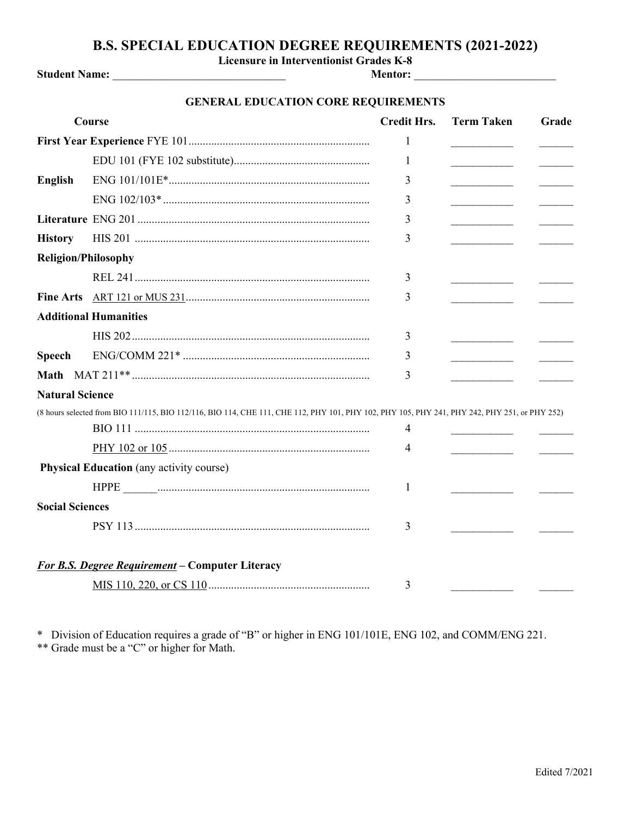## **B.S. SPECIAL EDUCATION DEGREE REQUIREMENTS (2021-2022)**

**Licensure in Interventionist Grades K-8**

**Student Name:** \_\_\_\_\_\_\_\_\_\_\_\_\_\_\_\_\_\_\_\_\_\_\_\_\_\_\_\_ **Mentor:** \_\_\_\_\_\_\_\_\_\_\_\_\_\_\_\_\_\_\_\_\_\_\_

## **GENERAL EDUCATION CORE REQUIREMENTS**

|                            | Course                                                                                                                                        | <b>Credit Hrs.</b> | <b>Term Taken</b>                       | Grade |  |  |
|----------------------------|-----------------------------------------------------------------------------------------------------------------------------------------------|--------------------|-----------------------------------------|-------|--|--|
|                            |                                                                                                                                               | 1                  |                                         |       |  |  |
|                            |                                                                                                                                               | 1                  |                                         |       |  |  |
| <b>English</b>             |                                                                                                                                               | 3                  | the control of the control of the       |       |  |  |
|                            |                                                                                                                                               | 3                  |                                         |       |  |  |
|                            |                                                                                                                                               | 3                  | <u> 1990 - Johann Barbara, martin a</u> |       |  |  |
| <b>History</b>             |                                                                                                                                               | 3                  | the control of the control of           |       |  |  |
| <b>Religion/Philosophy</b> |                                                                                                                                               |                    |                                         |       |  |  |
|                            |                                                                                                                                               | 3                  |                                         |       |  |  |
|                            |                                                                                                                                               | 3                  |                                         |       |  |  |
|                            | <b>Additional Humanities</b>                                                                                                                  |                    |                                         |       |  |  |
|                            |                                                                                                                                               | 3                  |                                         |       |  |  |
| <b>Speech</b>              |                                                                                                                                               | 3                  | the control of the control of the       |       |  |  |
|                            |                                                                                                                                               | 3                  |                                         |       |  |  |
| <b>Natural Science</b>     |                                                                                                                                               |                    |                                         |       |  |  |
|                            | (8 hours selected from BIO 111/115, BIO 112/116, BIO 114, CHE 111, CHE 112, PHY 101, PHY 102, PHY 105, PHY 241, PHY 242, PHY 251, or PHY 252) |                    |                                         |       |  |  |
|                            |                                                                                                                                               | 4                  |                                         |       |  |  |
|                            |                                                                                                                                               | 4                  |                                         |       |  |  |
|                            | <b>Physical Education</b> (any activity course)                                                                                               |                    |                                         |       |  |  |
|                            |                                                                                                                                               | 1                  |                                         |       |  |  |
| <b>Social Sciences</b>     |                                                                                                                                               |                    |                                         |       |  |  |
|                            |                                                                                                                                               | 3                  |                                         |       |  |  |
|                            |                                                                                                                                               |                    |                                         |       |  |  |
|                            | <b>For B.S. Degree Requirement - Computer Literacy</b>                                                                                        |                    |                                         |       |  |  |
|                            |                                                                                                                                               | 3                  |                                         |       |  |  |

\* Division of Education requires a grade of "B" or higher in ENG 101/101E, ENG 102, and COMM/ENG 221. \*\* Grade must be a "C" or higher for Math.